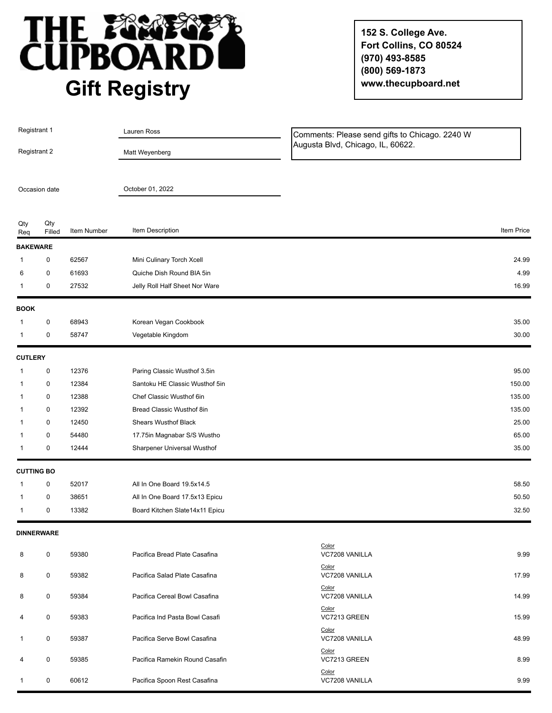

**152 S. College Ave. Fort Collins, CO 80524 (970) 493-8585 (800) 569-1873 www.thecupboard.net**

| Registrant 1<br>Registrant 2 |                   |             | Lauren Ross                    | Comments: Please send gifts to Chicago. 2240 W<br>Augusta Blvd, Chicago, IL, 60622. |            |
|------------------------------|-------------------|-------------|--------------------------------|-------------------------------------------------------------------------------------|------------|
|                              |                   |             | Matt Weyenberg                 |                                                                                     |            |
|                              |                   |             |                                |                                                                                     |            |
|                              | Occasion date     |             | October 01, 2022               |                                                                                     |            |
| Qty<br>Req                   | Qty<br>Filled     | Item Number | Item Description               |                                                                                     | Item Price |
| <b>BAKEWARE</b>              |                   |             |                                |                                                                                     |            |
| 1                            | 0                 | 62567       | Mini Culinary Torch Xcell      |                                                                                     | 24.99      |
| 6                            | 0                 | 61693       | Quiche Dish Round BIA 5in      |                                                                                     | 4.99       |
| 1                            | 0                 | 27532       | Jelly Roll Half Sheet Nor Ware |                                                                                     | 16.99      |
| <b>BOOK</b>                  |                   |             |                                |                                                                                     |            |
|                              | 0                 | 68943       | Korean Vegan Cookbook          |                                                                                     | 35.00      |
| 1                            | 0                 | 58747       | Vegetable Kingdom              |                                                                                     | 30.00      |
| <b>CUTLERY</b>               |                   |             |                                |                                                                                     |            |
| 1                            | 0                 | 12376       | Paring Classic Wusthof 3.5in   |                                                                                     | 95.00      |
| 1                            | 0                 | 12384       | Santoku HE Classic Wusthof 5in |                                                                                     | 150.00     |
| 1                            | 0                 | 12388       | Chef Classic Wusthof 6in       |                                                                                     | 135.00     |
| 1                            | 0                 | 12392       | Bread Classic Wusthof 8in      |                                                                                     | 135.00     |
|                              | 0                 | 12450       | <b>Shears Wusthof Black</b>    |                                                                                     | 25.00      |
|                              | 0                 | 54480       | 17.75in Magnabar S/S Wustho    |                                                                                     | 65.00      |
| 1                            | 0                 | 12444       | Sharpener Universal Wusthof    |                                                                                     | 35.00      |
|                              | <b>CUTTING BO</b> |             |                                |                                                                                     |            |
| 1                            | 0                 | 52017       | All In One Board 19.5x14.5     |                                                                                     | 58.50      |
| 1                            | 0                 | 38651       | All In One Board 17.5x13 Epicu |                                                                                     | 50.50      |
| 1                            | 0                 | 13382       | Board Kitchen Slate14x11 Epicu |                                                                                     | 32.50      |
|                              | <b>DINNERWARE</b> |             |                                |                                                                                     |            |
| 8                            | 0                 | 59380       | Pacifica Bread Plate Casafina  | Color<br>VC7208 VANILLA<br>Color                                                    | 9.99       |
| 8                            | 0                 | 59382       | Pacifica Salad Plate Casafina  | VC7208 VANILLA<br>Color                                                             | 17.99      |
| 8                            | 0                 | 59384       | Pacifica Cereal Bowl Casafina  | VC7208 VANILLA<br>Color                                                             | 14.99      |
| 4                            | 0                 | 59383       | Pacifica Ind Pasta Bowl Casafi | VC7213 GREEN<br>Color                                                               | 15.99      |
| 1                            | 0                 | 59387       | Pacifica Serve Bowl Casafina   | VC7208 VANILLA<br>Color                                                             | 48.99      |
| 4                            | 0                 | 59385       | Pacifica Ramekin Round Casafin | VC7213 GREEN<br>Color                                                               | 8.99       |
| 1                            | 0                 | 60612       | Pacifica Spoon Rest Casafina   | VC7208 VANILLA                                                                      | 9.99       |